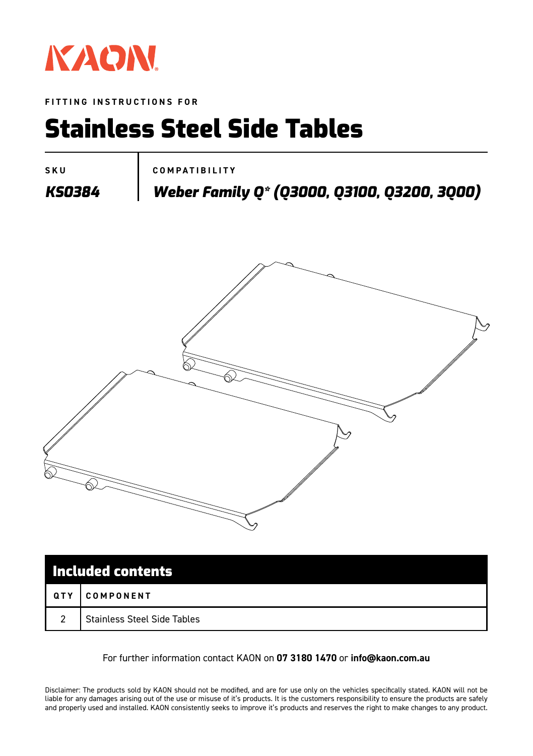

**FITTING INSTRUCTIONS FOR**

## Stainless Steel Side Tables

**SKU COMPATIBILITY**

*KS0384 Weber Family Q\* (Q3000, Q3100, Q3200, 3Q00)*



| Included contents |                                    |
|-------------------|------------------------------------|
| QTY               | <b>I COMPONENT</b>                 |
| $\overline{2}$    | <b>Stainless Steel Side Tables</b> |

#### For further information contact KAON on **07 3180 1470** or **info@kaon.com.au**

Disclaimer: The products sold by KAON should not be modified, and are for use only on the vehicles specifically stated. KAON will not be liable for any damages arising out of the use or misuse of it's products. It is the customers responsibility to ensure the products are safely and properly used and installed. KAON consistently seeks to improve it's products and reserves the right to make changes to any product.